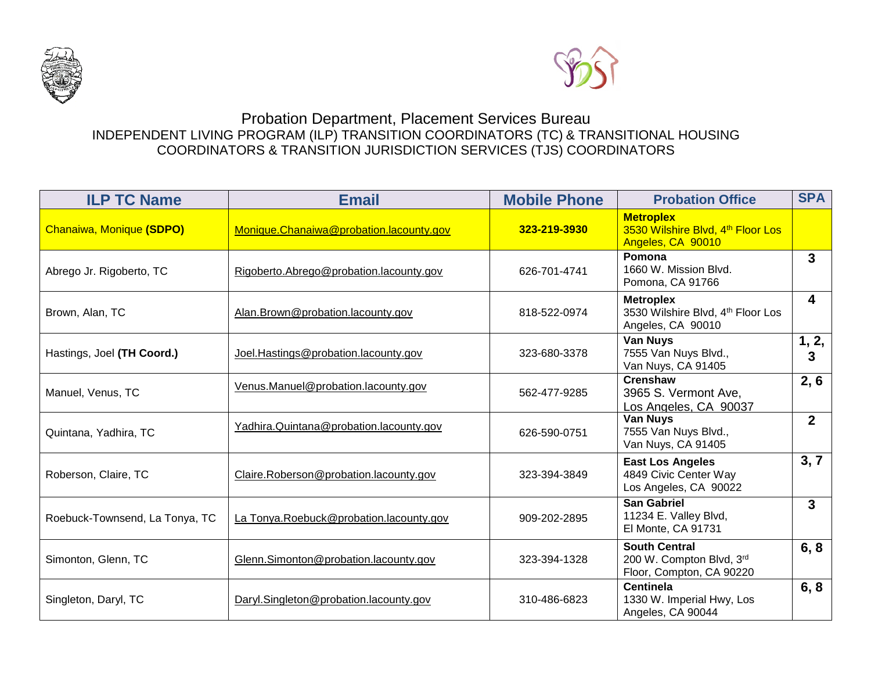



## Probation Department, Placement Services Bureau INDEPENDENT LIVING PROGRAM (ILP) TRANSITION COORDINATORS (TC) & TRANSITIONAL HOUSING COORDINATORS & TRANSITION JURISDICTION SERVICES (TJS) COORDINATORS

| <b>ILP TC Name</b>             | <b>Email</b>                            | <b>Mobile Phone</b> | <b>Probation Office</b>                                                      | <b>SPA</b>     |
|--------------------------------|-----------------------------------------|---------------------|------------------------------------------------------------------------------|----------------|
| Chanaiwa, Monique (SDPO)       | Monique.Chanaiwa@probation.lacounty.gov | 323-219-3930        | <b>Metroplex</b><br>3530 Wilshire Blvd, 4th Floor Los<br>Angeles, CA 90010   |                |
| Abrego Jr. Rigoberto, TC       | Rigoberto.Abrego@probation.lacounty.gov | 626-701-4741        | Pomona<br>1660 W. Mission Blvd.<br>Pomona, CA 91766                          | $\mathbf{3}$   |
| Brown, Alan, TC                | Alan.Brown@probation.lacounty.gov       | 818-522-0974        | <b>Metroplex</b><br>3530 Wilshire Blvd, 4th Floor Los<br>Angeles, CA 90010   | 4              |
| Hastings, Joel (TH Coord.)     | Joel.Hastings@probation.lacounty.gov    | 323-680-3378        | <b>Van Nuys</b><br>7555 Van Nuys Blvd.,<br>Van Nuys, CA 91405                | 1, 2,<br>3     |
| Manuel, Venus, TC              | Venus.Manuel@probation.lacounty.gov     | 562-477-9285        | <b>Crenshaw</b><br>3965 S. Vermont Ave,<br>Los Angeles, CA 90037             | 2, 6           |
| Quintana, Yadhira, TC          | Yadhira.Quintana@probation.lacounty.gov | 626-590-0751        | Van Nuys<br>7555 Van Nuys Blvd.,<br>Van Nuys, CA 91405                       | $\overline{2}$ |
| Roberson, Claire, TC           | Claire.Roberson@probation.lacounty.gov  | 323-394-3849        | <b>East Los Angeles</b><br>4849 Civic Center Way<br>Los Angeles, CA 90022    | 3, 7           |
| Roebuck-Townsend, La Tonya, TC | La Tonya.Roebuck@probation.lacounty.gov | 909-202-2895        | <b>San Gabriel</b><br>11234 E. Valley Blvd,<br>El Monte, CA 91731            | 3              |
| Simonton, Glenn, TC            | Glenn.Simonton@probation.lacounty.gov   | 323-394-1328        | <b>South Central</b><br>200 W. Compton Blvd, 3rd<br>Floor, Compton, CA 90220 | 6, 8           |
| Singleton, Daryl, TC           | Daryl.Singleton@probation.lacounty.gov  | 310-486-6823        | <b>Centinela</b><br>1330 W. Imperial Hwy, Los<br>Angeles, CA 90044           | 6, 8           |